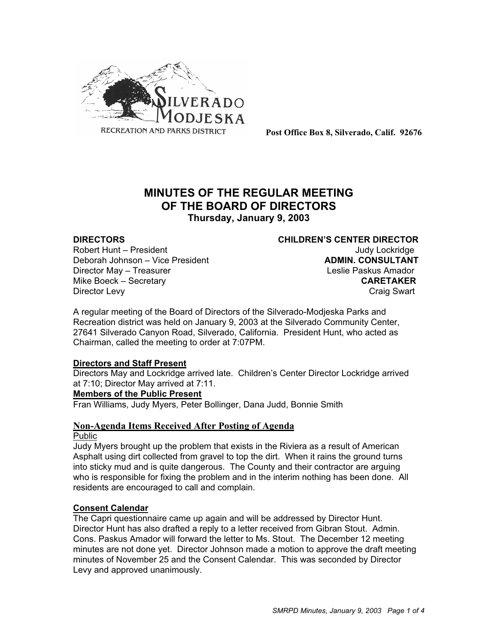

**Post Office Box 8, Silverado, Calif. 92676**

# **MINUTES OF THE REGULAR MEETING OF THE BOARD OF DIRECTORS**

**Thursday, January 9, 2003**

Robert Hunt – President View March 1999 and Judy Lockridge Deborah Johnson – Vice President **ADMIN. CONSULTANT** Director May – Treasurer Leslie Paskus Amador Mike Boeck – Secretary **CARETAKER** Director Levy **Craig Swart** 

**DIRECTORS CHILDREN'S CENTER DIRECTOR**

A regular meeting of the Board of Directors of the Silverado-Modjeska Parks and Recreation district was held on January 9, 2003 at the Silverado Community Center, 27641 Silverado Canyon Road, Silverado, California. President Hunt, who acted as Chairman, called the meeting to order at 7:07PM.

#### **Directors and Staff Present**

Directors May and Lockridge arrived late. Children's Center Director Lockridge arrived at 7:10; Director May arrived at 7:11.

#### **Members of the Public Present**

Fran Williams, Judy Myers, Peter Bollinger, Dana Judd, Bonnie Smith

# **Non-Agenda Items Received After Posting of Agenda**

#### Public

Judy Myers brought up the problem that exists in the Riviera as a result of American Asphalt using dirt collected from gravel to top the dirt. When it rains the ground turns into sticky mud and is quite dangerous. The County and their contractor are arguing who is responsible for fixing the problem and in the interim nothing has been done. All residents are encouraged to call and complain.

#### **Consent Calendar**

The Capri questionnaire came up again and will be addressed by Director Hunt. Director Hunt has also drafted a reply to a letter received from Gibran Stout. Admin. Cons. Paskus Amador will forward the letter to Ms. Stout. The December 12 meeting minutes are not done yet. Director Johnson made a motion to approve the draft meeting minutes of November 25 and the Consent Calendar. This was seconded by Director Levy and approved unanimously.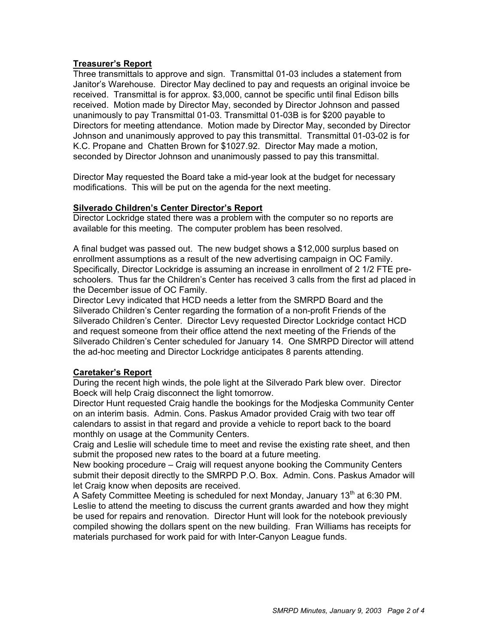#### **Treasurer's Report**

Three transmittals to approve and sign. Transmittal 01-03 includes a statement from Janitor's Warehouse. Director May declined to pay and requests an original invoice be received. Transmittal is for approx. \$3,000, cannot be specific until final Edison bills received. Motion made by Director May, seconded by Director Johnson and passed unanimously to pay Transmittal 01-03. Transmittal 01-03B is for \$200 payable to Directors for meeting attendance. Motion made by Director May, seconded by Director Johnson and unanimously approved to pay this transmittal. Transmittal 01-03-02 is for K.C. Propane and Chatten Brown for \$1027.92. Director May made a motion, seconded by Director Johnson and unanimously passed to pay this transmittal.

Director May requested the Board take a mid-year look at the budget for necessary modifications. This will be put on the agenda for the next meeting.

#### **Silverado Children's Center Director's Report**

Director Lockridge stated there was a problem with the computer so no reports are available for this meeting. The computer problem has been resolved.

A final budget was passed out. The new budget shows a \$12,000 surplus based on enrollment assumptions as a result of the new advertising campaign in OC Family. Specifically, Director Lockridge is assuming an increase in enrollment of 2 1/2 FTE preschoolers. Thus far the Children's Center has received 3 calls from the first ad placed in the December issue of OC Family.

Director Levy indicated that HCD needs a letter from the SMRPD Board and the Silverado Children's Center regarding the formation of a non-profit Friends of the Silverado Children's Center. Director Levy requested Director Lockridge contact HCD and request someone from their office attend the next meeting of the Friends of the Silverado Children's Center scheduled for January 14. One SMRPD Director will attend the ad-hoc meeting and Director Lockridge anticipates 8 parents attending.

#### **Caretaker's Report**

During the recent high winds, the pole light at the Silverado Park blew over. Director Boeck will help Craig disconnect the light tomorrow.

Director Hunt requested Craig handle the bookings for the Modjeska Community Center on an interim basis. Admin. Cons. Paskus Amador provided Craig with two tear off calendars to assist in that regard and provide a vehicle to report back to the board monthly on usage at the Community Centers.

Craig and Leslie will schedule time to meet and revise the existing rate sheet, and then submit the proposed new rates to the board at a future meeting.

New booking procedure – Craig will request anyone booking the Community Centers submit their deposit directly to the SMRPD P.O. Box. Admin. Cons. Paskus Amador will let Craig know when deposits are received.

A Safety Committee Meeting is scheduled for next Monday, January 13<sup>th</sup> at 6:30 PM. Leslie to attend the meeting to discuss the current grants awarded and how they might be used for repairs and renovation. Director Hunt will look for the notebook previously compiled showing the dollars spent on the new building. Fran Williams has receipts for materials purchased for work paid for with Inter-Canyon League funds.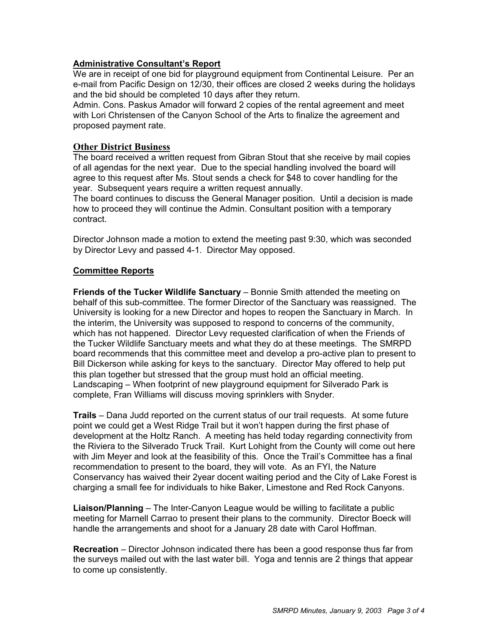## **Administrative Consultant's Report**

We are in receipt of one bid for playground equipment from Continental Leisure. Per an e-mail from Pacific Design on 12/30, their offices are closed 2 weeks during the holidays and the bid should be completed 10 days after they return.

Admin. Cons. Paskus Amador will forward 2 copies of the rental agreement and meet with Lori Christensen of the Canyon School of the Arts to finalize the agreement and proposed payment rate.

#### **Other District Business**

The board received a written request from Gibran Stout that she receive by mail copies of all agendas for the next year. Due to the special handling involved the board will agree to this request after Ms. Stout sends a check for \$48 to cover handling for the year. Subsequent years require a written request annually.

The board continues to discuss the General Manager position. Until a decision is made how to proceed they will continue the Admin. Consultant position with a temporary contract.

Director Johnson made a motion to extend the meeting past 9:30, which was seconded by Director Levy and passed 4-1. Director May opposed.

#### **Committee Reports**

**Friends of the Tucker Wildlife Sanctuary** – Bonnie Smith attended the meeting on behalf of this sub-committee. The former Director of the Sanctuary was reassigned. The University is looking for a new Director and hopes to reopen the Sanctuary in March. In the interim, the University was supposed to respond to concerns of the community, which has not happened. Director Levy requested clarification of when the Friends of the Tucker Wildlife Sanctuary meets and what they do at these meetings. The SMRPD board recommends that this committee meet and develop a pro-active plan to present to Bill Dickerson while asking for keys to the sanctuary. Director May offered to help put this plan together but stressed that the group must hold an official meeting. Landscaping – When footprint of new playground equipment for Silverado Park is complete, Fran Williams will discuss moving sprinklers with Snyder.

**Trails** – Dana Judd reported on the current status of our trail requests. At some future point we could get a West Ridge Trail but it won't happen during the first phase of development at the Holtz Ranch. A meeting has held today regarding connectivity from the Riviera to the Silverado Truck Trail. Kurt Lohight from the County will come out here with Jim Meyer and look at the feasibility of this. Once the Trail's Committee has a final recommendation to present to the board, they will vote. As an FYI, the Nature Conservancy has waived their 2year docent waiting period and the City of Lake Forest is charging a small fee for individuals to hike Baker, Limestone and Red Rock Canyons.

**Liaison/Planning** – The Inter-Canyon League would be willing to facilitate a public meeting for Marnell Carrao to present their plans to the community. Director Boeck will handle the arrangements and shoot for a January 28 date with Carol Hoffman.

**Recreation** – Director Johnson indicated there has been a good response thus far from the surveys mailed out with the last water bill. Yoga and tennis are 2 things that appear to come up consistently.